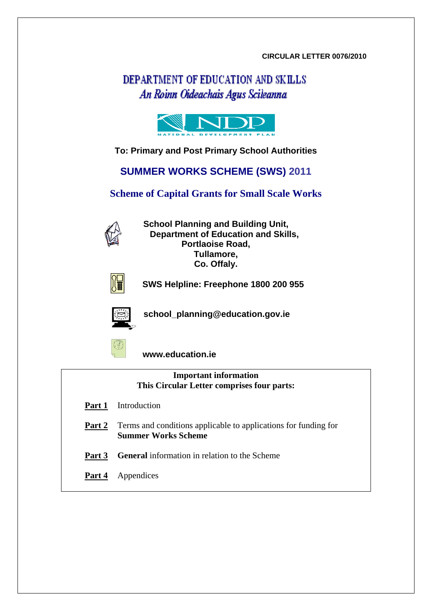#### **CIRCULAR LETTER 0076/2010**

# DEPARTMENT OF EDUCATION AND SKILLS An Roinn Oideachais Agus Scileanna



### **To: Primary and Post Primary School Authorities**

**SUMMER WORKS SCHEME (SWS) 2011** 

**Scheme of Capital Grants for Small Scale Works** 



**School Planning and Building Unit, Department of Education and Skills, Portlaoise Road, Tullamore, Co. Offaly.** 



 **SWS Helpline: Freephone 1800 200 955** 



**school\_planning@education.gov.ie** 



 **www.education.ie** 

| <b>Important information</b><br>This Circular Letter comprises four parts: |                                                                                               |  |  |  |
|----------------------------------------------------------------------------|-----------------------------------------------------------------------------------------------|--|--|--|
| Part 1                                                                     | Introduction                                                                                  |  |  |  |
| Part 2                                                                     | Terms and conditions applicable to applications for funding for<br><b>Summer Works Scheme</b> |  |  |  |
| Part 3                                                                     | <b>General</b> information in relation to the Scheme                                          |  |  |  |
| Part 4                                                                     | Appendices                                                                                    |  |  |  |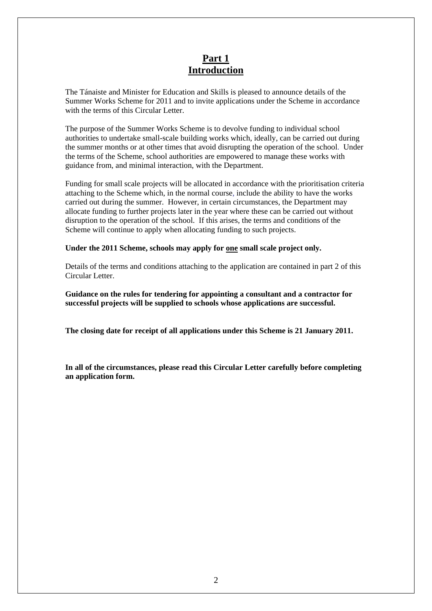## **Part 1 Introduction**

The Tánaiste and Minister for Education and Skills is pleased to announce details of the Summer Works Scheme for 2011 and to invite applications under the Scheme in accordance with the terms of this Circular Letter.

The purpose of the Summer Works Scheme is to devolve funding to individual school authorities to undertake small-scale building works which, ideally, can be carried out during the summer months or at other times that avoid disrupting the operation of the school. Under the terms of the Scheme, school authorities are empowered to manage these works with guidance from, and minimal interaction, with the Department.

Funding for small scale projects will be allocated in accordance with the prioritisation criteria attaching to the Scheme which, in the normal course, include the ability to have the works carried out during the summer. However, in certain circumstances, the Department may allocate funding to further projects later in the year where these can be carried out without disruption to the operation of the school. If this arises, the terms and conditions of the Scheme will continue to apply when allocating funding to such projects.

#### **Under the 2011 Scheme, schools may apply for one small scale project only.**

Details of the terms and conditions attaching to the application are contained in part 2 of this Circular Letter.

**Guidance on the rules for tendering for appointing a consultant and a contractor for successful projects will be supplied to schools whose applications are successful.** 

**The closing date for receipt of all applications under this Scheme is 21 January 2011.** 

**In all of the circumstances, please read this Circular Letter carefully before completing an application form.**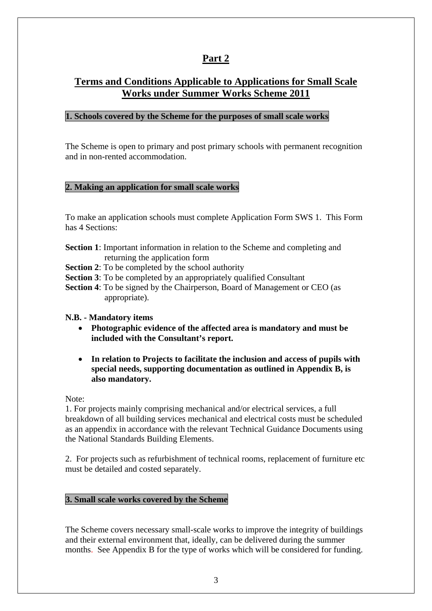# **Part 2**

# **Terms and Conditions Applicable to Applications for Small Scale Works under Summer Works Scheme 2011**

### **1. Schools covered by the Scheme for the purposes of small scale works**

The Scheme is open to primary and post primary schools with permanent recognition and in non-rented accommodation.

### **2. Making an application for small scale works**

To make an application schools must complete Application Form SWS 1. This Form has 4 Sections:

- **Section 1**: Important information in relation to the Scheme and completing and returning the application form
- **Section 2**: To be completed by the school authority
- **Section 3**: To be completed by an appropriately qualified Consultant
- **Section 4**: To be signed by the Chairperson, Board of Management or CEO (as appropriate).
- **N.B. Mandatory items** 
	- **Photographic evidence of the affected area is mandatory and must be included with the Consultant's report.**
	- **In relation to Projects to facilitate the inclusion and access of pupils with special needs, supporting documentation as outlined in Appendix B, is also mandatory.**

Note:

1. For projects mainly comprising mechanical and/or electrical services, a full breakdown of all building services mechanical and electrical costs must be scheduled as an appendix in accordance with the relevant Technical Guidance Documents using the National Standards Building Elements.

2. For projects such as refurbishment of technical rooms, replacement of furniture etc must be detailed and costed separately.

### **3. Small scale works covered by the Scheme**

The Scheme covers necessary small-scale works to improve the integrity of buildings and their external environment that, ideally, can be delivered during the summer months. See Appendix B for the type of works which will be considered for funding.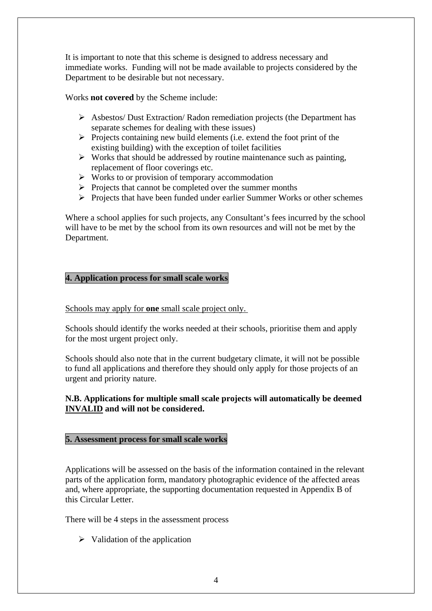It is important to note that this scheme is designed to address necessary and immediate works. Funding will not be made available to projects considered by the Department to be desirable but not necessary.

Works **not covered** by the Scheme include:

- ¾ Asbestos/ Dust Extraction/ Radon remediation projects (the Department has separate schemes for dealing with these issues)
- $\triangleright$  Projects containing new build elements (i.e. extend the foot print of the existing building) with the exception of toilet facilities
- $\triangleright$  Works that should be addressed by routine maintenance such as painting, replacement of floor coverings etc.
- $\triangleright$  Works to or provision of temporary accommodation
- $\triangleright$  Projects that cannot be completed over the summer months
- ¾ Projects that have been funded under earlier Summer Works or other schemes

Where a school applies for such projects, any Consultant's fees incurred by the school will have to be met by the school from its own resources and will not be met by the Department.

### **4. Application process for small scale works**

Schools may apply for **one** small scale project only.

Schools should identify the works needed at their schools, prioritise them and apply for the most urgent project only.

Schools should also note that in the current budgetary climate, it will not be possible to fund all applications and therefore they should only apply for those projects of an urgent and priority nature.

#### **N.B. Applications for multiple small scale projects will automatically be deemed INVALID and will not be considered.**

#### **5. Assessment process for small scale works**

Applications will be assessed on the basis of the information contained in the relevant parts of the application form, mandatory photographic evidence of the affected areas and, where appropriate, the supporting documentation requested in Appendix B of this Circular Letter.

There will be 4 steps in the assessment process

 $\triangleright$  Validation of the application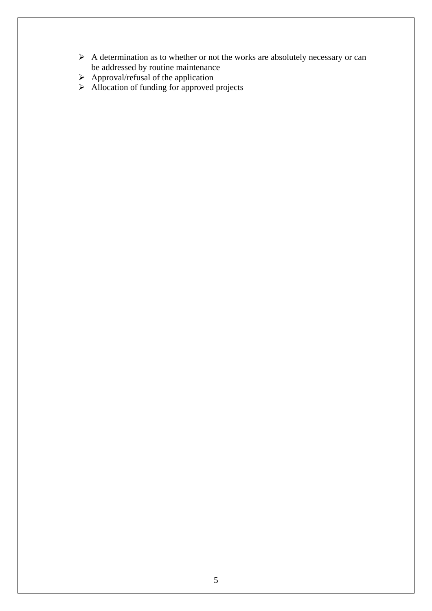- $\triangleright$  A determination as to whether or not the works are absolutely necessary or can be addressed by routine maintenance
- $\triangleright$  Approval/refusal of the application
- $\triangleright$  Allocation of funding for approved projects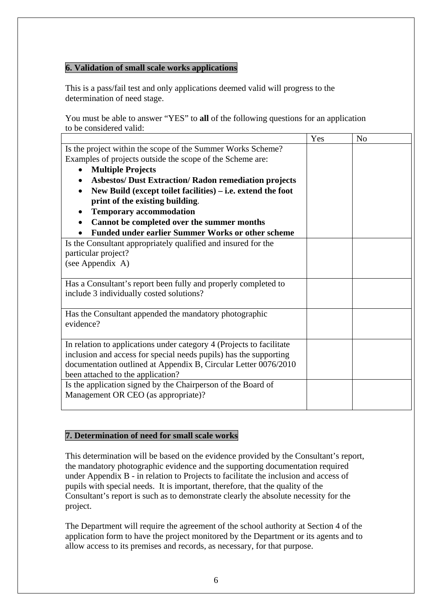## **6. Validation of small scale works applications**

This is a pass/fail test and only applications deemed valid will progress to the determination of need stage.

You must be able to answer "YES" to **all** of the following questions for an application to be considered valid:

|                                                                      | Yes | N <sub>0</sub> |
|----------------------------------------------------------------------|-----|----------------|
| Is the project within the scope of the Summer Works Scheme?          |     |                |
| Examples of projects outside the scope of the Scheme are:            |     |                |
| <b>Multiple Projects</b><br>$\bullet$                                |     |                |
| <b>Asbestos/ Dust Extraction/ Radon remediation projects</b>         |     |                |
| New Build (except toilet facilities) – i.e. extend the foot          |     |                |
| print of the existing building.                                      |     |                |
| <b>Temporary accommodation</b>                                       |     |                |
| Cannot be completed over the summer months                           |     |                |
| <b>Funded under earlier Summer Works or other scheme</b>             |     |                |
| Is the Consultant appropriately qualified and insured for the        |     |                |
| particular project?                                                  |     |                |
| (see Appendix A)                                                     |     |                |
|                                                                      |     |                |
| Has a Consultant's report been fully and properly completed to       |     |                |
| include 3 individually costed solutions?                             |     |                |
|                                                                      |     |                |
| Has the Consultant appended the mandatory photographic               |     |                |
| evidence?                                                            |     |                |
|                                                                      |     |                |
| In relation to applications under category 4 (Projects to facilitate |     |                |
| inclusion and access for special needs pupils) has the supporting    |     |                |
| documentation outlined at Appendix B, Circular Letter 0076/2010      |     |                |
| been attached to the application?                                    |     |                |
| Is the application signed by the Chairperson of the Board of         |     |                |
| Management OR CEO (as appropriate)?                                  |     |                |

### **7. Determination of need for small scale works**

This determination will be based on the evidence provided by the Consultant's report, the mandatory photographic evidence and the supporting documentation required under Appendix B - in relation to Projects to facilitate the inclusion and access of pupils with special needs. It is important, therefore, that the quality of the Consultant's report is such as to demonstrate clearly the absolute necessity for the project.

The Department will require the agreement of the school authority at Section 4 of the application form to have the project monitored by the Department or its agents and to allow access to its premises and records, as necessary, for that purpose.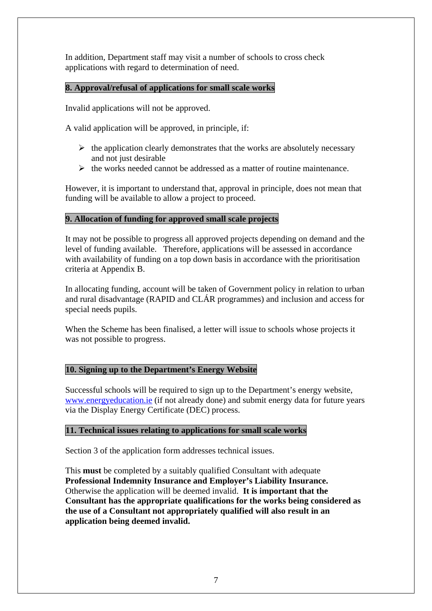In addition, Department staff may visit a number of schools to cross check applications with regard to determination of need.

## **8. Approval/refusal of applications for small scale works**

Invalid applications will not be approved.

A valid application will be approved, in principle, if:

- $\triangleright$  the application clearly demonstrates that the works are absolutely necessary and not just desirable
- $\triangleright$  the works needed cannot be addressed as a matter of routine maintenance.

However, it is important to understand that, approval in principle, does not mean that funding will be available to allow a project to proceed.

## **9. Allocation of funding for approved small scale projects**

It may not be possible to progress all approved projects depending on demand and the level of funding available. Therefore, applications will be assessed in accordance with availability of funding on a top down basis in accordance with the prioritisation criteria at Appendix B.

In allocating funding, account will be taken of Government policy in relation to urban and rural disadvantage (RAPID and CLÁR programmes) and inclusion and access for special needs pupils.

When the Scheme has been finalised, a letter will issue to schools whose projects it was not possible to progress.

### **10. Signing up to the Department's Energy Website**

Successful schools will be required to sign up to the Department's energy website, [www.energyeducation.ie](http://www.energyeducation.ie/) (if not already done) and submit energy data for future years via the Display Energy Certificate (DEC) process.

### **11. Technical issues relating to applications for small scale works**

Section 3 of the application form addresses technical issues.

This **must** be completed by a suitably qualified Consultant with adequate **Professional Indemnity Insurance and Employer's Liability Insurance.**  Otherwise the application will be deemed invalid. **It is important that the Consultant has the appropriate qualifications for the works being considered as the use of a Consultant not appropriately qualified will also result in an application being deemed invalid.**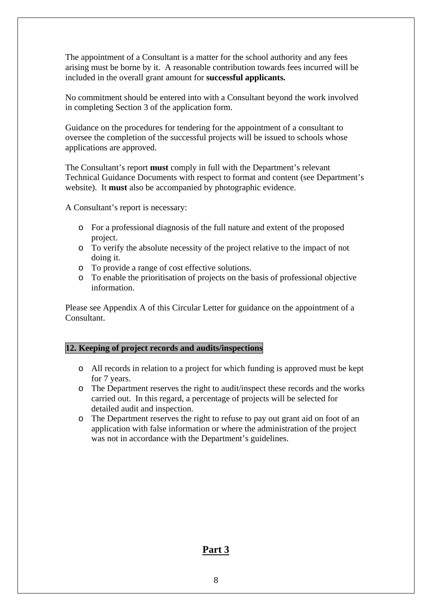The appointment of a Consultant is a matter for the school authority and any fees arising must be borne by it. A reasonable contribution towards fees incurred will be included in the overall grant amount for **successful applicants.**

No commitment should be entered into with a Consultant beyond the work involved in completing Section 3 of the application form.

Guidance on the procedures for tendering for the appointment of a consultant to oversee the completion of the successful projects will be issued to schools whose applications are approved.

The Consultant's report **must** comply in full with the Department's relevant Technical Guidance Documents with respect to format and content (see Department's website). It **must** also be accompanied by photographic evidence.

A Consultant's report is necessary:

- o For a professional diagnosis of the full nature and extent of the proposed project.
- o To verify the absolute necessity of the project relative to the impact of not doing it.
- o To provide a range of cost effective solutions.
- o To enable the prioritisation of projects on the basis of professional objective information.

Please see Appendix A of this Circular Letter for guidance on the appointment of a Consultant.

#### **12. Keeping of project records and audits/inspections**

- o All records in relation to a project for which funding is approved must be kept for 7 years.
- o The Department reserves the right to audit/inspect these records and the works carried out. In this regard, a percentage of projects will be selected for detailed audit and inspection.
- o The Department reserves the right to refuse to pay out grant aid on foot of an application with false information or where the administration of the project was not in accordance with the Department's guidelines.

### **Part 3**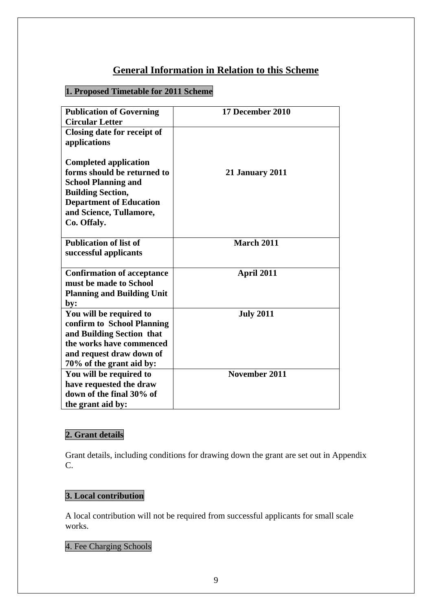# **General Information in Relation to this Scheme**

# **1. Proposed Timetable for 2011 Scheme**

| <b>Publication of Governing</b>   | 17 December 2010       |
|-----------------------------------|------------------------|
| <b>Circular Letter</b>            |                        |
| Closing date for receipt of       |                        |
| applications                      |                        |
|                                   |                        |
| <b>Completed application</b>      |                        |
| forms should be returned to       | <b>21 January 2011</b> |
| <b>School Planning and</b>        |                        |
| <b>Building Section,</b>          |                        |
| <b>Department of Education</b>    |                        |
| and Science, Tullamore,           |                        |
| Co. Offaly.                       |                        |
|                                   |                        |
| <b>Publication of list of</b>     | <b>March 2011</b>      |
| successful applicants             |                        |
|                                   |                        |
| <b>Confirmation of acceptance</b> | April 2011             |
| must be made to School            |                        |
| <b>Planning and Building Unit</b> |                        |
| by:                               |                        |
| You will be required to           | <b>July 2011</b>       |
| confirm to School Planning        |                        |
| and Building Section that         |                        |
| the works have commenced          |                        |
| and request draw down of          |                        |
| 70% of the grant aid by:          |                        |
| You will be required to           | November 2011          |
| have requested the draw           |                        |
| down of the final 30% of          |                        |
| the grant aid by:                 |                        |

# **2. Grant details**

Grant details, including conditions for drawing down the grant are set out in Appendix C.

## **3. Local contribution**

A local contribution will not be required from successful applicants for small scale works.

## 4. Fee Charging Schools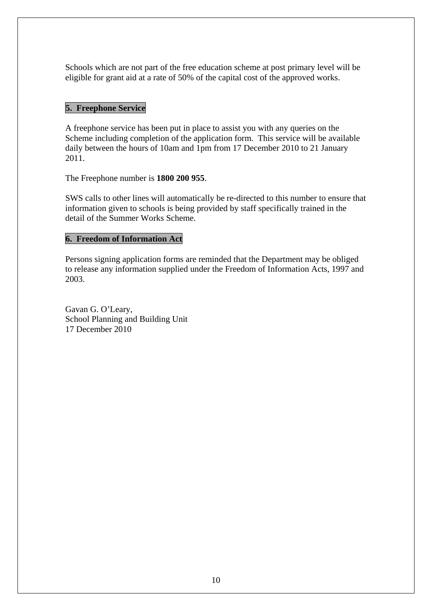Schools which are not part of the free education scheme at post primary level will be eligible for grant aid at a rate of 50% of the capital cost of the approved works.

## **5. Freephone Service**

A freephone service has been put in place to assist you with any queries on the Scheme including completion of the application form. This service will be available daily between the hours of 10am and 1pm from 17 December 2010 to 21 January 2011.

The Freephone number is **1800 200 955**.

SWS calls to other lines will automatically be re-directed to this number to ensure that information given to schools is being provided by staff specifically trained in the detail of the Summer Works Scheme.

### **6. Freedom of Information Act**

Persons signing application forms are reminded that the Department may be obliged to release any information supplied under the Freedom of Information Acts, 1997 and 2003.

Gavan G. O'Leary, School Planning and Building Unit 17 December 2010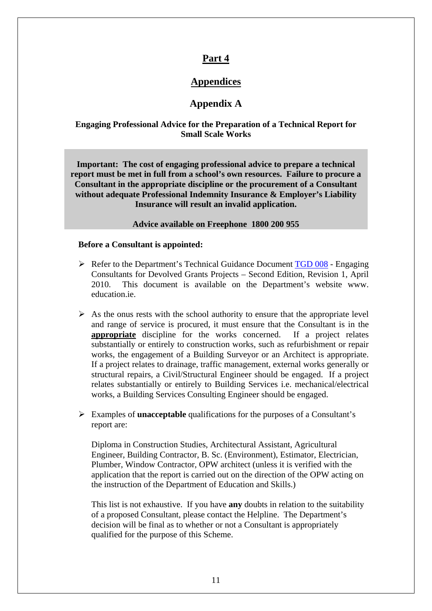## **Part 4**

## **Appendices**

## **Appendix A**

#### **Engaging Professional Advice for the Preparation of a Technical Report for Small Scale Works**

**Important: The cost of engaging professional advice to prepare a technical report must be met in full from a school's own resources. Failure to procure a Consultant in the appropriate discipline or the procurement of a Consultant without adequate Professional Indemnity Insurance & Employer's Liability Insurance will result an invalid application.** 

**Advice available on Freephone 1800 200 955** 

#### **Before a Consultant is appointed:**

- $\triangleright$  Refer to the Department's Technical Guidance Document [TGD 008](http://www.education.ie/servlet/blobservlet/bu_tgd_008.pdf) Engaging Consultants for Devolved Grants Projects – Second Edition, Revision 1, April 2010. This document is available on the Department's website www. education.ie.
- $\triangleright$  As the onus rests with the school authority to ensure that the appropriate level and range of service is procured, it must ensure that the Consultant is in the **appropriate** discipline for the works concerned. If a project relates substantially or entirely to construction works, such as refurbishment or repair works, the engagement of a Building Surveyor or an Architect is appropriate. If a project relates to drainage, traffic management, external works generally or structural repairs, a Civil/Structural Engineer should be engaged. If a project relates substantially or entirely to Building Services i.e. mechanical/electrical works, a Building Services Consulting Engineer should be engaged.
- ¾ Examples of **unacceptable** qualifications for the purposes of a Consultant's report are:

Diploma in Construction Studies, Architectural Assistant, Agricultural Engineer, Building Contractor, B. Sc. (Environment), Estimator, Electrician, Plumber, Window Contractor, OPW architect (unless it is verified with the application that the report is carried out on the direction of the OPW acting on the instruction of the Department of Education and Skills.)

This list is not exhaustive. If you have **any** doubts in relation to the suitability of a proposed Consultant, please contact the Helpline. The Department's decision will be final as to whether or not a Consultant is appropriately qualified for the purpose of this Scheme.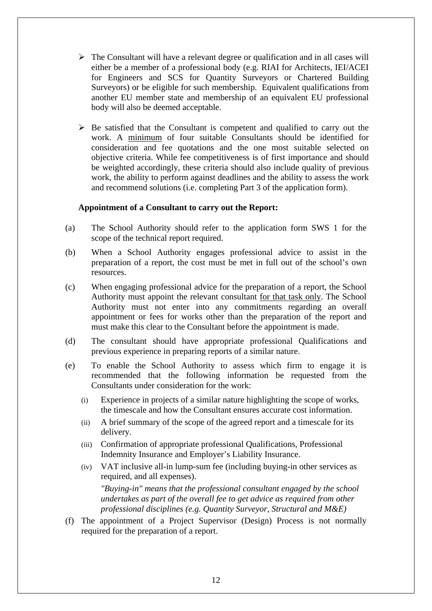- $\triangleright$  The Consultant will have a relevant degree or qualification and in all cases will either be a member of a professional body (e.g. RIAI for Architects, IEI/ACEI for Engineers and SCS for Quantity Surveyors or Chartered Building Surveyors) or be eligible for such membership. Equivalent qualifications from another EU member state and membership of an equivalent EU professional body will also be deemed acceptable.
- $\triangleright$  Be satisfied that the Consultant is competent and qualified to carry out the work. A minimum of four suitable Consultants should be identified for consideration and fee quotations and the one most suitable selected on objective criteria. While fee competitiveness is of first importance and should be weighted accordingly, these criteria should also include quality of previous work, the ability to perform against deadlines and the ability to assess the work and recommend solutions (i.e. completing Part 3 of the application form).

#### **Appointment of a Consultant to carry out the Report:**

- (a) The School Authority should refer to the application form SWS 1 for the scope of the technical report required.
- (b) When a School Authority engages professional advice to assist in the preparation of a report, the cost must be met in full out of the school's own resources.
- (c) When engaging professional advice for the preparation of a report, the School Authority must appoint the relevant consultant for that task only. The School Authority must not enter into any commitments regarding an overall appointment or fees for works other than the preparation of the report and must make this clear to the Consultant before the appointment is made.
- (d) The consultant should have appropriate professional Qualifications and previous experience in preparing reports of a similar nature.
- (e) To enable the School Authority to assess which firm to engage it is recommended that the following information be requested from the Consultants under consideration for the work:
	- (i) Experience in projects of a similar nature highlighting the scope of works, the timescale and how the Consultant ensures accurate cost information.
	- (ii) A brief summary of the scope of the agreed report and a timescale for its delivery.
	- (iii) Confirmation of appropriate professional Qualifications, Professional Indemnity Insurance and Employer's Liability Insurance.
	- (iv) VAT inclusive all-in lump-sum fee (including buying-in other services as required, and all expenses).

*"Buying-in" means that the professional consultant engaged by the school undertakes as part of the overall fee to get advice as required from other professional disciplines (e.g. Quantity Surveyor, Structural and M&E)* 

(f) The appointment of a Project Supervisor (Design) Process is not normally required for the preparation of a report.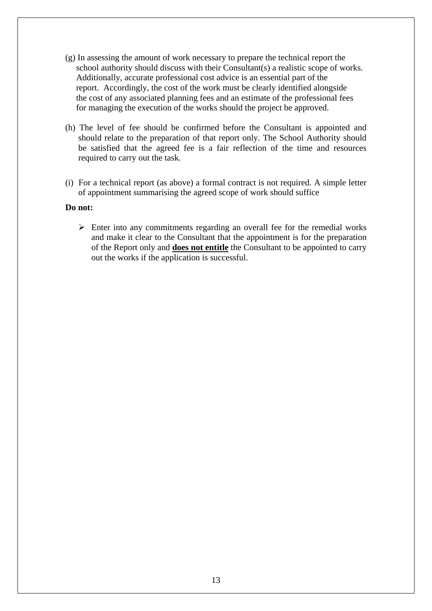- (g) In assessing the amount of work necessary to prepare the technical report the school authority should discuss with their Consultant(s) a realistic scope of works. Additionally, accurate professional cost advice is an essential part of the report. Accordingly, the cost of the work must be clearly identified alongside the cost of any associated planning fees and an estimate of the professional fees for managing the execution of the works should the project be approved.
- (h) The level of fee should be confirmed before the Consultant is appointed and should relate to the preparation of that report only. The School Authority should be satisfied that the agreed fee is a fair reflection of the time and resources required to carry out the task.
- (i) For a technical report (as above) a formal contract is not required. A simple letter of appointment summarising the agreed scope of work should suffice

#### **Do not:**

 $\triangleright$  Enter into any commitments regarding an overall fee for the remedial works and make it clear to the Consultant that the appointment is for the preparation of the Report only and **does not entitle** the Consultant to be appointed to carry out the works if the application is successful.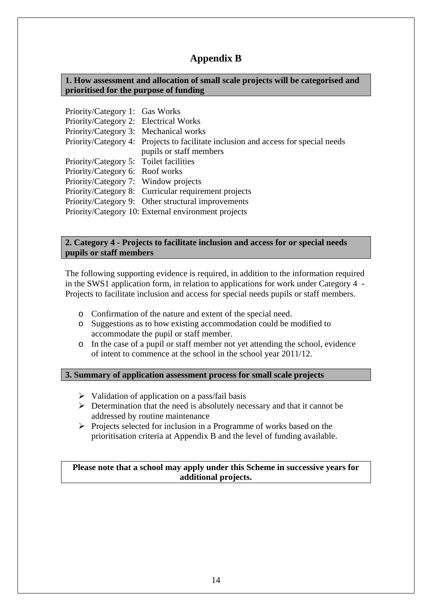# **Appendix B**

**1. How assessment and allocation of small scale projects will be categorised and prioritised for the purpose of funding** 

Priority/Category 1: Gas Works Priority/Category 2: Electrical Works Priority/Category 3: Mechanical works Priority/Category 4: Projects to facilitate inclusion and access for special needs pupils or staff members Priority/Category 5: Toilet facilities Priority/Category 6: Roof works Priority/Category 7: Window projects Priority/Category 8: Curricular requirement projects Priority/Category 9: Other structural improvements Priority/Category 10: External environment projects

#### **2. Category 4 - Projects to facilitate inclusion and access for or special needs pupils or staff members**

The following supporting evidence is required, in addition to the information required in the SWS1 application form, in relation to applications for work under Category 4 - Projects to facilitate inclusion and access for special needs pupils or staff members.

- o Confirmation of the nature and extent of the special need.
- o Suggestions as to how existing accommodation could be modified to accommodate the pupil or staff member.
- o In the case of a pupil or staff member not yet attending the school, evidence of intent to commence at the school in the school year 2011/12.

#### **3. Summary of application assessment process for small scale projects**

- $\triangleright$  Validation of application on a pass/fail basis
- $\triangleright$  Determination that the need is absolutely necessary and that it cannot be addressed by routine maintenance
- $\triangleright$  Projects selected for inclusion in a Programme of works based on the prioritisation criteria at Appendix B and the level of funding available.

#### **Please note that a school may apply under this Scheme in successive years for additional projects.**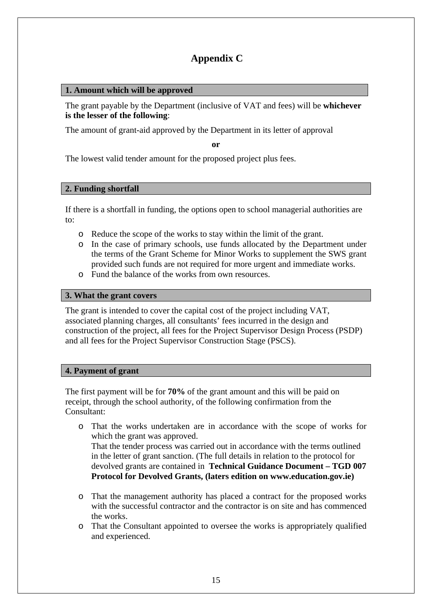# **Appendix C**

## **1. Amount which will be approved**

The grant payable by the Department (inclusive of VAT and fees) will be **whichever is the lesser of the following**:

The amount of grant-aid approved by the Department in its letter of approval

**or** 

The lowest valid tender amount for the proposed project plus fees.

### **2. Funding shortfall**

If there is a shortfall in funding, the options open to school managerial authorities are to:

- o Reduce the scope of the works to stay within the limit of the grant.
- o In the case of primary schools, use funds allocated by the Department under the terms of the Grant Scheme for Minor Works to supplement the SWS grant provided such funds are not required for more urgent and immediate works.
- o Fund the balance of the works from own resources.

### **3. What the grant covers**

The grant is intended to cover the capital cost of the project including VAT, associated planning charges, all consultants' fees incurred in the design and construction of the project, all fees for the Project Supervisor Design Process (PSDP) and all fees for the Project Supervisor Construction Stage (PSCS).

### **4. Payment of grant**

The first payment will be for **70%** of the grant amount and this will be paid on receipt, through the school authority, of the following confirmation from the Consultant:

- o That the works undertaken are in accordance with the scope of works for which the grant was approved. That the tender process was carried out in accordance with the terms outlined in the letter of grant sanction. (The full details in relation to the protocol for devolved grants are contained in **Technical Guidance Document – TGD 007 Protocol for Devolved Grants, (laters edition on www.education.gov.ie)**
- o That the management authority has placed a contract for the proposed works with the successful contractor and the contractor is on site and has commenced the works.
- o That the Consultant appointed to oversee the works is appropriately qualified and experienced.